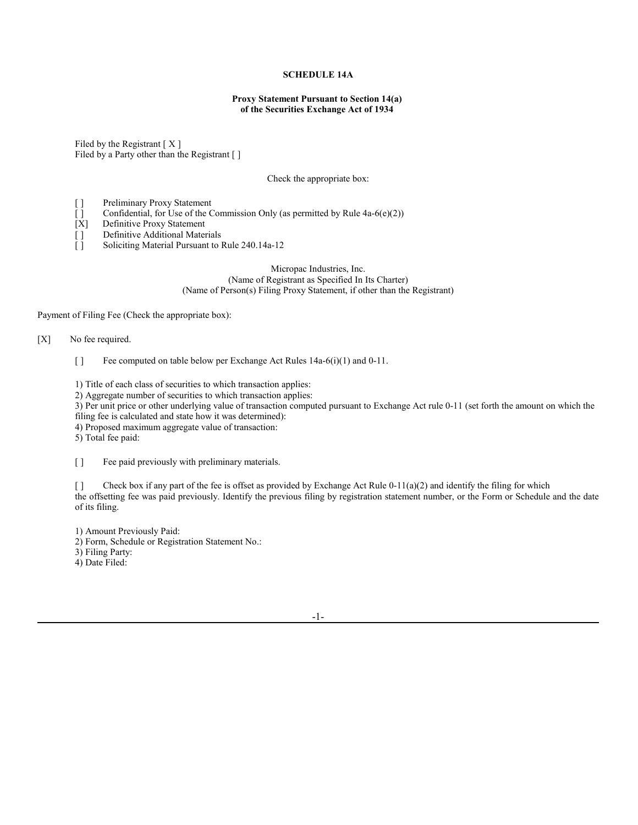## **SCHEDULE 14A**

## **Proxy Statement Pursuant to Section 14(a) of the Securities Exchange Act of 1934**

Filed by the Registrant  $[X]$ Filed by a Party other than the Registrant [ ]

Check the appropriate box:

- [] Preliminary Proxy Statement
- [ $\vert$ ] Confidential, for Use of the Commission Only (as permitted by Rule 4a-6(e)(2))
- [X] Definitive Proxy Statement
- [] Definitive Additional Materials
- [ ] Soliciting Material Pursuant to Rule 240.14a-12

## Micropac Industries, Inc. (Name of Registrant as Specified In Its Charter) (Name of Person(s) Filing Proxy Statement, if other than the Registrant)

Payment of Filing Fee (Check the appropriate box):

## [X] No fee required.

[ ] Fee computed on table below per Exchange Act Rules 14a-6(i)(1) and 0-11.

1) Title of each class of securities to which transaction applies:

2) Aggregate number of securities to which transaction applies:

3) Per unit price or other underlying value of transaction computed pursuant to Exchange Act rule 0-11 (set forth the amount on which the filing fee is calculated and state how it was determined):

4) Proposed maximum aggregate value of transaction:

5) Total fee paid:

[ ] Fee paid previously with preliminary materials.

[ ] Check box if any part of the fee is offset as provided by Exchange Act Rule  $0-11(a)(2)$  and identify the filing for which the offsetting fee was paid previously. Identify the previous filing by registration statement number, or the Form or Schedule and the date of its filing.

1) Amount Previously Paid:

2) Form, Schedule or Registration Statement No.:

3) Filing Party:

4) Date Filed: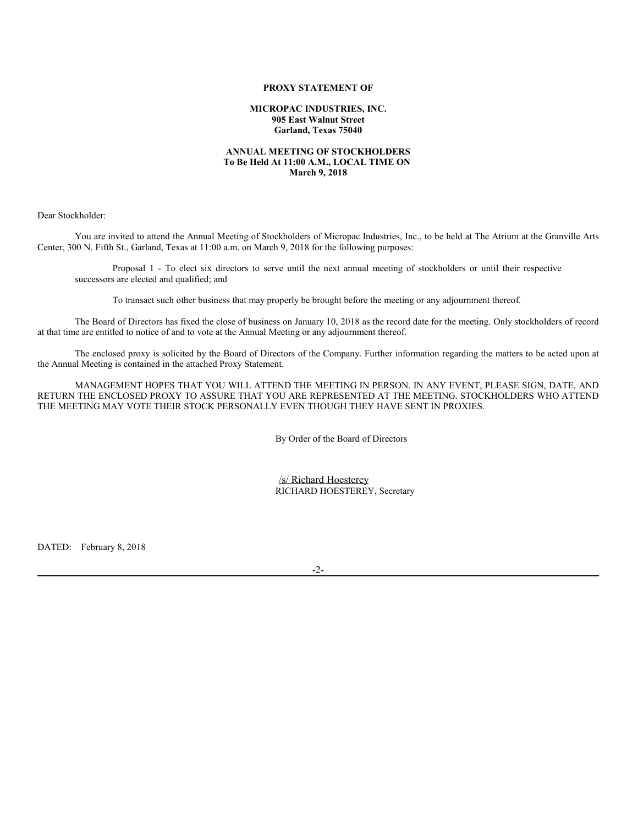#### **PROXY STATEMENT OF**

**MICROPAC INDUSTRIES, INC. 905 East Walnut Street Garland, Texas 75040**

#### **ANNUAL MEETING OF STOCKHOLDERS To Be Held At 11:00 A.M., LOCAL TIME ON March 9, 2018**

Dear Stockholder:

You are invited to attend the Annual Meeting of Stockholders of Micropac Industries, Inc., to be held at The Atrium at the Granville Arts Center, 300 N. Fifth St., Garland, Texas at 11:00 a.m. on March 9, 2018 for the following purposes:

Proposal 1 - To elect six directors to serve until the next annual meeting of stockholders or until their respective successors are elected and qualified; and

To transact such other business that may properly be brought before the meeting or any adjournment thereof.

The Board of Directors has fixed the close of business on January 10, 2018 as the record date for the meeting. Only stockholders of record at that time are entitled to notice of and to vote at the Annual Meeting or any adjournment thereof.

The enclosed proxy is solicited by the Board of Directors of the Company. Further information regarding the matters to be acted upon at the Annual Meeting is contained in the attached Proxy Statement.

MANAGEMENT HOPES THAT YOU WILL ATTEND THE MEETING IN PERSON. IN ANY EVENT, PLEASE SIGN, DATE, AND RETURN THE ENCLOSED PROXY TO ASSURE THAT YOU ARE REPRESENTED AT THE MEETING. STOCKHOLDERS WHO ATTEND THE MEETING MAY VOTE THEIR STOCK PERSONALLY EVEN THOUGH THEY HAVE SENT IN PROXIES.

By Order of the Board of Directors

/s/ Richard Hoesterey RICHARD HOESTEREY, Secretary

DATED: February 8, 2018

-2-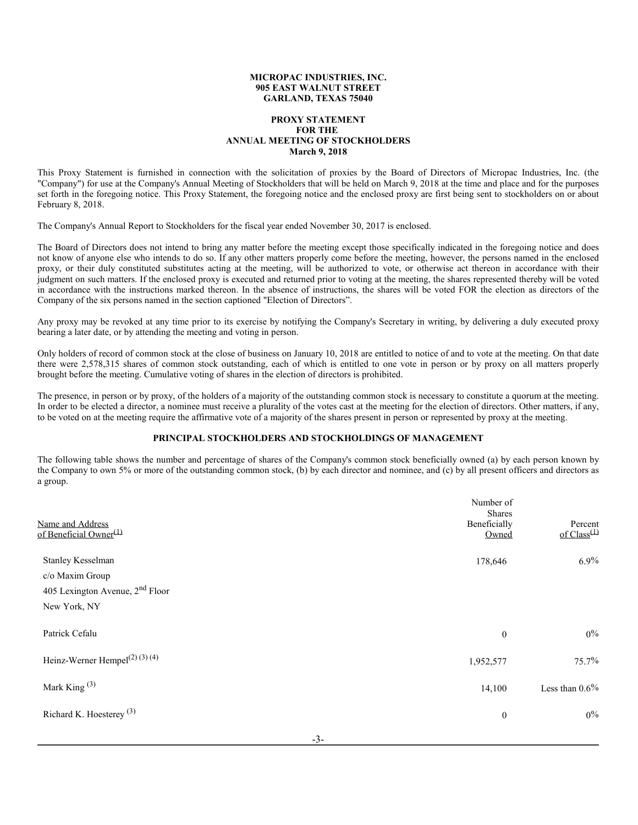#### **MICROPAC INDUSTRIES, INC. 905 EAST WALNUT STREET GARLAND, TEXAS 75040**

## **PROXY STATEMENT FOR THE ANNUAL MEETING OF STOCKHOLDERS March 9, 2018**

This Proxy Statement is furnished in connection with the solicitation of proxies by the Board of Directors of Micropac Industries, Inc. (the "Company") for use at the Company's Annual Meeting of Stockholders that will be held on March 9, 2018 at the time and place and for the purposes set forth in the foregoing notice. This Proxy Statement, the foregoing notice and the enclosed proxy are first being sent to stockholders on or about February 8, 2018.

The Company's Annual Report to Stockholders for the fiscal year ended November 30, 2017 is enclosed.

The Board of Directors does not intend to bring any matter before the meeting except those specifically indicated in the foregoing notice and does not know of anyone else who intends to do so. If any other matters properly come before the meeting, however, the persons named in the enclosed proxy, or their duly constituted substitutes acting at the meeting, will be authorized to vote, or otherwise act thereon in accordance with their judgment on such matters. If the enclosed proxy is executed and returned prior to voting at the meeting, the shares represented thereby will be voted in accordance with the instructions marked thereon. In the absence of instructions, the shares will be voted FOR the election as directors of the Company of the six persons named in the section captioned "Election of Directors".

Any proxy may be revoked at any time prior to its exercise by notifying the Company's Secretary in writing, by delivering a duly executed proxy bearing a later date, or by attending the meeting and voting in person.

Only holders of record of common stock at the close of business on January 10, 2018 are entitled to notice of and to vote at the meeting. On that date there were 2,578,315 shares of common stock outstanding, each of which is entitled to one vote in person or by proxy on all matters properly brought before the meeting. Cumulative voting of shares in the election of directors is prohibited.

The presence, in person or by proxy, of the holders of a majority of the outstanding common stock is necessary to constitute a quorum at the meeting. In order to be elected a director, a nominee must receive a plurality of the votes cast at the meeting for the election of directors. Other matters, if any, to be voted on at the meeting require the affirmative vote of a majority of the shares present in person or represented by proxy at the meeting.

## **PRINCIPAL STOCKHOLDERS AND STOCKHOLDINGS OF MANAGEMENT**

The following table shows the number and percentage of shares of the Company's common stock beneficially owned (a) by each person known by the Company to own 5% or more of the outstanding common stock, (b) by each director and nominee, and (c) by all present officers and directors as a group.

| Name and Address<br>of Beneficial Owner <sup>(1)</sup>                                    | Number of<br><b>Shares</b><br>Beneficially<br>Owned | Percent<br>of $Class^{(1)}$ |
|-------------------------------------------------------------------------------------------|-----------------------------------------------------|-----------------------------|
| Stanley Kesselman<br>c/o Maxim Group<br>405 Lexington Avenue, $2nd$ Floor<br>New York, NY | 178,646                                             | 6.9%                        |
| Patrick Cefalu                                                                            | $\boldsymbol{0}$                                    | $0\%$                       |
| Heinz-Werner Hempel <sup>(2)(3)(4)</sup>                                                  | 1,952,577                                           | 75.7%                       |
| Mark King $(3)$                                                                           | 14,100                                              | Less than $0.6\%$           |
| Richard K. Hoesterey <sup>(3)</sup>                                                       | $\boldsymbol{0}$                                    | $0\%$                       |
|                                                                                           |                                                     |                             |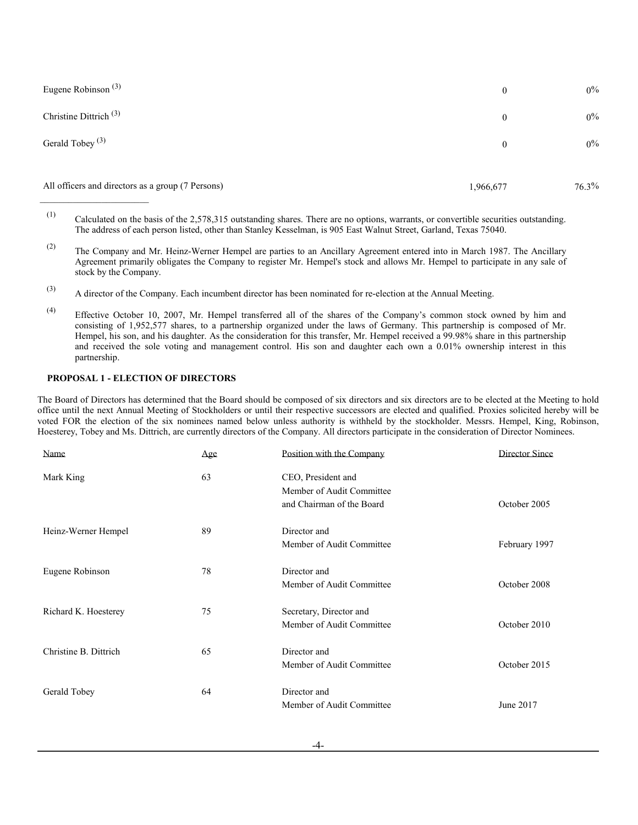| Eugene Robinson <sup>(3)</sup>                    | $\boldsymbol{0}$ | $0\%$    |
|---------------------------------------------------|------------------|----------|
| Christine Dittrich <sup><math>(3)</math></sup>    | $\overline{0}$   | $0\%$    |
| Gerald Tobey <sup>(3)</sup>                       | $\mathbf{0}$     | $0\%$    |
| All officers and directors as a group (7 Persons) | 1,966,677        | $76.3\%$ |

<sup>(1)</sup> Calculated on the basis of the 2,578,315 outstanding shares. There are no options, warrants, or convertible securities outstanding. The address of each person listed, other than Stanley Kesselman, is 905 East Walnut Street, Garland, Texas 75040.

- (2) The Company and Mr. Heinz-Werner Hempel are parties to an Ancillary Agreement entered into in March 1987. The Ancillary Agreement primarily obligates the Company to register Mr. Hempel's stock and allows Mr. Hempel to participate in any sale of stock by the Company.
- (3) A director of the Company. Each incumbent director has been nominated for re-election at the Annual Meeting.
- (4) Effective October 10, 2007, Mr. Hempel transferred all of the shares of the Company's common stock owned by him and consisting of 1,952,577 shares, to a partnership organized under the laws of Germany. This partnership is composed of Mr. Hempel, his son, and his daughter. As the consideration for this transfer, Mr. Hempel received a 99.98% share in this partnership and received the sole voting and management control. His son and daughter each own a 0.01% ownership interest in this partnership.

## **PROPOSAL 1 - ELECTION OF DIRECTORS**

The Board of Directors has determined that the Board should be composed of six directors and six directors are to be elected at the Meeting to hold office until the next Annual Meeting of Stockholders or until their respective successors are elected and qualified. Proxies solicited hereby will be voted FOR the election of the six nominees named below unless authority is withheld by the stockholder. Messrs. Hempel, King, Robinson, Hoesterey, Tobey and Ms. Dittrich, are currently directors of the Company. All directors participate in the consideration of Director Nominees.

| Name                  | Age | Position with the Company                       | Director Since |
|-----------------------|-----|-------------------------------------------------|----------------|
| Mark King             | 63  | CEO, President and<br>Member of Audit Committee |                |
|                       |     | and Chairman of the Board                       | October 2005   |
| Heinz-Werner Hempel   | 89  | Director and                                    |                |
|                       |     | Member of Audit Committee                       | February 1997  |
| Eugene Robinson       | 78  | Director and                                    |                |
|                       |     | Member of Audit Committee                       | October 2008   |
| Richard K. Hoesterey  | 75  | Secretary, Director and                         |                |
|                       |     | Member of Audit Committee                       | October 2010   |
| Christine B. Dittrich | 65  | Director and                                    |                |
|                       |     | Member of Audit Committee                       | October 2015   |
| Gerald Tobey          | 64  | Director and                                    |                |
|                       |     | Member of Audit Committee                       | June 2017      |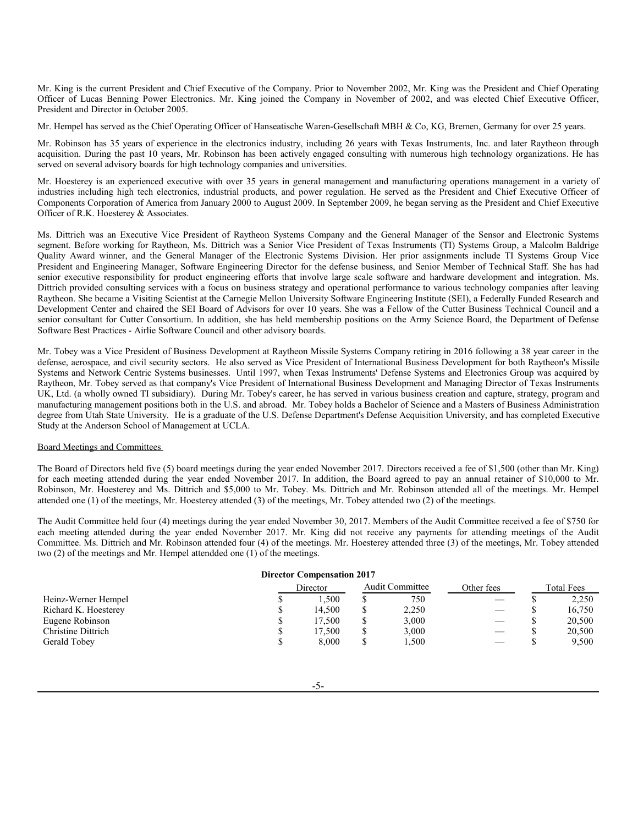Mr. King is the current President and Chief Executive of the Company. Prior to November 2002, Mr. King was the President and Chief Operating Officer of Lucas Benning Power Electronics. Mr. King joined the Company in November of 2002, and was elected Chief Executive Officer, President and Director in October 2005.

Mr. Hempel has served as the Chief Operating Officer of Hanseatische Waren-Gesellschaft MBH & Co, KG, Bremen, Germany for over 25 years.

Mr. Robinson has 35 years of experience in the electronics industry, including 26 years with Texas Instruments, Inc. and later Raytheon through acquisition. During the past 10 years, Mr. Robinson has been actively engaged consulting with numerous high technology organizations. He has served on several advisory boards for high technology companies and universities.

Mr. Hoesterey is an experienced executive with over 35 years in general management and manufacturing operations management in a variety of industries including high tech electronics, industrial products, and power regulation. He served as the President and Chief Executive Officer of Components Corporation of America from January 2000 to August 2009. In September 2009, he began serving as the President and Chief Executive Officer of R.K. Hoesterey & Associates.

Ms. Dittrich was an Executive Vice President of Raytheon Systems Company and the General Manager of the Sensor and Electronic Systems segment. Before working for Raytheon, Ms. Dittrich was a Senior Vice President of Texas Instruments (TI) Systems Group, a Malcolm Baldrige Quality Award winner, and the General Manager of the Electronic Systems Division. Her prior assignments include TI Systems Group Vice President and Engineering Manager, Software Engineering Director for the defense business, and Senior Member of Technical Staff. She has had senior executive responsibility for product engineering efforts that involve large scale software and hardware development and integration. Ms. Dittrich provided consulting services with a focus on business strategy and operational performance to various technology companies after leaving Raytheon. She became a Visiting Scientist at the Carnegie Mellon University Software Engineering Institute (SEI), a Federally Funded Research and Development Center and chaired the SEI Board of Advisors for over 10 years. She was a Fellow of the Cutter Business Technical Council and a senior consultant for Cutter Consortium. In addition, she has held membership positions on the Army Science Board, the Department of Defense Software Best Practices - Airlie Software Council and other advisory boards.

Mr. Tobey was a Vice President of Business Development at Raytheon Missile Systems Company retiring in 2016 following a 38 year career in the defense, aerospace, and civil security sectors. He also served as Vice President of International Business Development for both Raytheon's Missile Systems and Network Centric Systems businesses. Until 1997, when Texas Instruments' Defense Systems and Electronics Group was acquired by Raytheon, Mr. Tobey served as that company's Vice President of International Business Development and Managing Director of Texas Instruments UK, Ltd. (a wholly owned TI subsidiary). During Mr. Tobey's career, he has served in various business creation and capture, strategy, program and manufacturing management positions both in the U.S. and abroad. Mr. Tobey holds a Bachelor of Science and a Masters of Business Administration degree from Utah State University. He is a graduate of the U.S. Defense Department's Defense Acquisition University, and has completed Executive Study at the Anderson School of Management at UCLA.

### Board Meetings and Committees

The Board of Directors held five (5) board meetings during the year ended November 2017. Directors received a fee of \$1,500 (other than Mr. King) for each meeting attended during the year ended November 2017. In addition, the Board agreed to pay an annual retainer of \$10,000 to Mr. Robinson, Mr. Hoesterey and Ms. Dittrich and \$5,000 to Mr. Tobey. Ms. Dittrich and Mr. Robinson attended all of the meetings. Mr. Hempel attended one (1) of the meetings, Mr. Hoesterey attended (3) of the meetings, Mr. Tobey attended two (2) of the meetings.

The Audit Committee held four (4) meetings during the year ended November 30, 2017. Members of the Audit Committee received a fee of \$750 for each meeting attended during the year ended November 2017. Mr. King did not receive any payments for attending meetings of the Audit Committee. Ms. Dittrich and Mr. Robinson attended four (4) of the meetings. Mr. Hoesterey attended three (3) of the meetings, Mr. Tobey attended two (2) of the meetings and Mr. Hempel attendded one (1) of the meetings.

|                      | <b>Director Compensation 2017</b> |   |                 |                                |                   |
|----------------------|-----------------------------------|---|-----------------|--------------------------------|-------------------|
|                      | Director                          |   | Audit Committee | Other fees                     | <b>Total Fees</b> |
| Heinz-Werner Hempel  | . . 500                           |   | 750             |                                | 2,250             |
| Richard K. Hoesterey | 14.500                            |   | 2,250           |                                | 16.750            |
| Eugene Robinson      | 17.500                            |   | 3,000           | $\qquad \qquad \longleftarrow$ | 20,500            |
| Christine Dittrich   | 17.500                            |   | 3,000           |                                | 20,500            |
| Gerald Tobey         | 8,000                             | S | 1,500           |                                | 9,500             |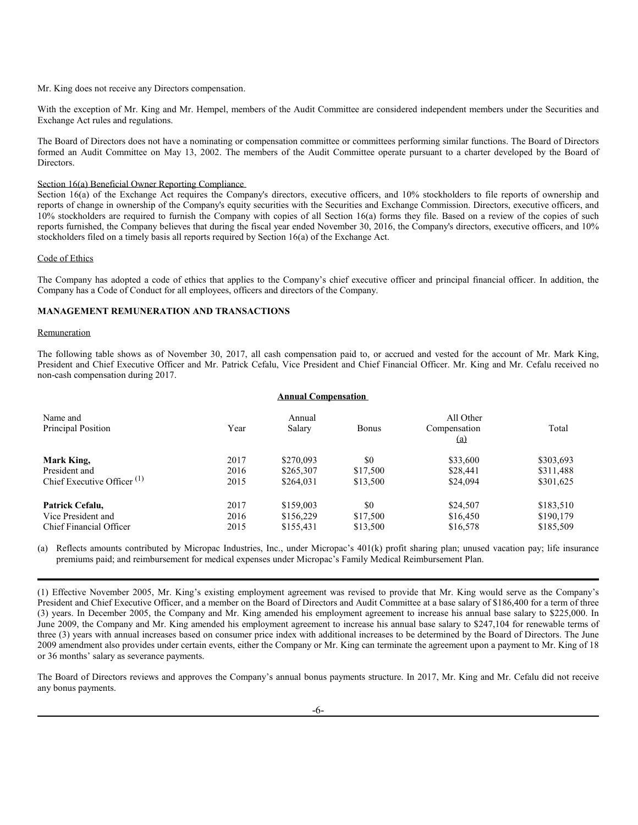Mr. King does not receive any Directors compensation.

With the exception of Mr. King and Mr. Hempel, members of the Audit Committee are considered independent members under the Securities and Exchange Act rules and regulations.

The Board of Directors does not have a nominating or compensation committee or committees performing similar functions. The Board of Directors formed an Audit Committee on May 13, 2002. The members of the Audit Committee operate pursuant to a charter developed by the Board of Directors.

## Section 16(a) Beneficial Owner Reporting Compliance

Section 16(a) of the Exchange Act requires the Company's directors, executive officers, and 10% stockholders to file reports of ownership and reports of change in ownership of the Company's equity securities with the Securities and Exchange Commission. Directors, executive officers, and 10% stockholders are required to furnish the Company with copies of all Section 16(a) forms they file. Based on a review of the copies of such reports furnished, the Company believes that during the fiscal year ended November 30, 2016, the Company's directors, executive officers, and 10% stockholders filed on a timely basis all reports required by Section 16(a) of the Exchange Act.

#### Code of Ethics

The Company has adopted a code of ethics that applies to the Company's chief executive officer and principal financial officer. In addition, the Company has a Code of Conduct for all employees, officers and directors of the Company.

## **MANAGEMENT REMUNERATION AND TRANSACTIONS**

#### Remuneration

The following table shows as of November 30, 2017, all cash compensation paid to, or accrued and vested for the account of Mr. Mark King, President and Chief Executive Officer and Mr. Patrick Cefalu, Vice President and Chief Financial Officer. Mr. King and Mr. Cefalu received no non-cash compensation during 2017.

#### **Annual Compensation**

| Name and                                            |      | Annual    |          | All Other           |           |
|-----------------------------------------------------|------|-----------|----------|---------------------|-----------|
| Principal Position                                  | Year | Salary    | Bonus    | Compensation<br>(a) | Total     |
| Mark King,                                          | 2017 | \$270,093 | \$0      | \$33,600            | \$303,693 |
| President and                                       | 2016 | \$265,307 | \$17,500 | \$28,441            | \$311,488 |
| Chief Executive Officer <sup><math>(1)</math></sup> | 2015 | \$264,031 | \$13,500 | \$24,094            | \$301,625 |
| Patrick Cefalu,                                     | 2017 | \$159,003 | \$0      | \$24,507            | \$183,510 |
| Vice President and                                  | 2016 | \$156,229 | \$17,500 | \$16,450            | \$190,179 |
| Chief Financial Officer                             | 2015 | \$155,431 | \$13,500 | \$16,578            | \$185,509 |

(a) Reflects amounts contributed by Micropac Industries, Inc., under Micropac's 401(k) profit sharing plan; unused vacation pay; life insurance premiums paid; and reimbursement for medical expenses under Micropac's Family Medical Reimbursement Plan.

(1) Effective November 2005, Mr. King's existing employment agreement was revised to provide that Mr. King would serve as the Company's President and Chief Executive Officer, and a member on the Board of Directors and Audit Committee at a base salary of \$186,400 for a term of three (3) years. In December 2005, the Company and Mr. King amended his employment agreement to increase his annual base salary to \$225,000. In June 2009, the Company and Mr. King amended his employment agreement to increase his annual base salary to \$247,104 for renewable terms of three (3) years with annual increases based on consumer price index with additional increases to be determined by the Board of Directors. The June 2009 amendment also provides under certain events, either the Company or Mr. King can terminate the agreement upon a payment to Mr. King of 18 or 36 months' salary as severance payments.

The Board of Directors reviews and approves the Company's annual bonus payments structure. In 2017, Mr. King and Mr. Cefalu did not receive any bonus payments.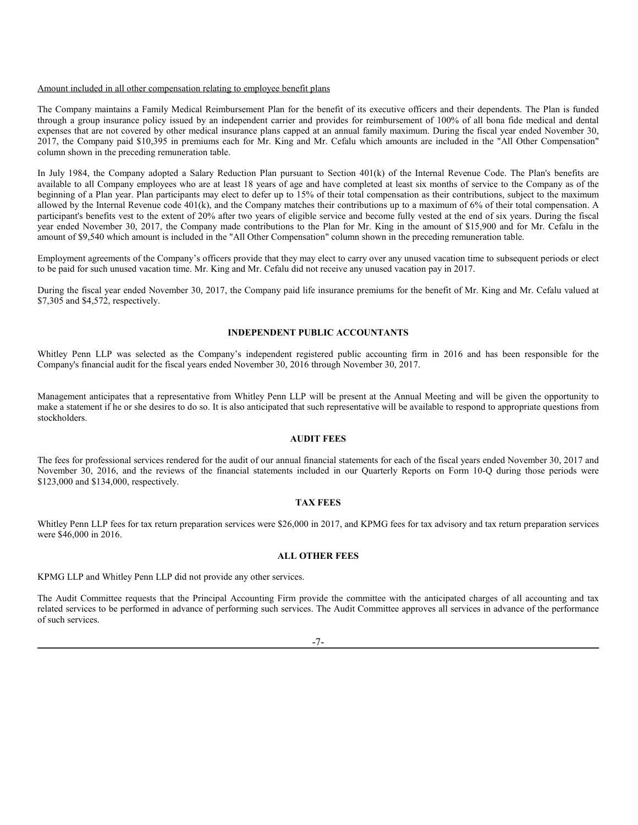#### Amount included in all other compensation relating to employee benefit plans

The Company maintains a Family Medical Reimbursement Plan for the benefit of its executive officers and their dependents. The Plan is funded through a group insurance policy issued by an independent carrier and provides for reimbursement of 100% of all bona fide medical and dental expenses that are not covered by other medical insurance plans capped at an annual family maximum. During the fiscal year ended November 30, 2017, the Company paid \$10,395 in premiums each for Mr. King and Mr. Cefalu which amounts are included in the "All Other Compensation" column shown in the preceding remuneration table.

In July 1984, the Company adopted a Salary Reduction Plan pursuant to Section 401(k) of the Internal Revenue Code. The Plan's benefits are available to all Company employees who are at least 18 years of age and have completed at least six months of service to the Company as of the beginning of a Plan year. Plan participants may elect to defer up to 15% of their total compensation as their contributions, subject to the maximum allowed by the Internal Revenue code 401(k), and the Company matches their contributions up to a maximum of 6% of their total compensation. A participant's benefits vest to the extent of 20% after two years of eligible service and become fully vested at the end of six years. During the fiscal year ended November 30, 2017, the Company made contributions to the Plan for Mr. King in the amount of \$15,900 and for Mr. Cefalu in the amount of \$9,540 which amount is included in the "All Other Compensation" column shown in the preceding remuneration table.

Employment agreements of the Company's officers provide that they may elect to carry over any unused vacation time to subsequent periods or elect to be paid for such unused vacation time. Mr. King and Mr. Cefalu did not receive any unused vacation pay in 2017.

During the fiscal year ended November 30, 2017, the Company paid life insurance premiums for the benefit of Mr. King and Mr. Cefalu valued at \$7,305 and \$4,572, respectively.

#### **INDEPENDENT PUBLIC ACCOUNTANTS**

Whitley Penn LLP was selected as the Company's independent registered public accounting firm in 2016 and has been responsible for the Company's financial audit for the fiscal years ended November 30, 2016 through November 30, 2017.

Management anticipates that a representative from Whitley Penn LLP will be present at the Annual Meeting and will be given the opportunity to make a statement if he or she desires to do so. It is also anticipated that such representative will be available to respond to appropriate questions from stockholders.

## **AUDIT FEES**

The fees for professional services rendered for the audit of our annual financial statements for each of the fiscal years ended November 30, 2017 and November 30, 2016, and the reviews of the financial statements included in our Quarterly Reports on Form 10-Q during those periods were \$123,000 and \$134,000, respectively.

## **TAX FEES**

Whitley Penn LLP fees for tax return preparation services were \$26,000 in 2017, and KPMG fees for tax advisory and tax return preparation services were \$46,000 in 2016.

#### **ALL OTHER FEES**

KPMG LLP and Whitley Penn LLP did not provide any other services.

The Audit Committee requests that the Principal Accounting Firm provide the committee with the anticipated charges of all accounting and tax related services to be performed in advance of performing such services. The Audit Committee approves all services in advance of the performance of such services.

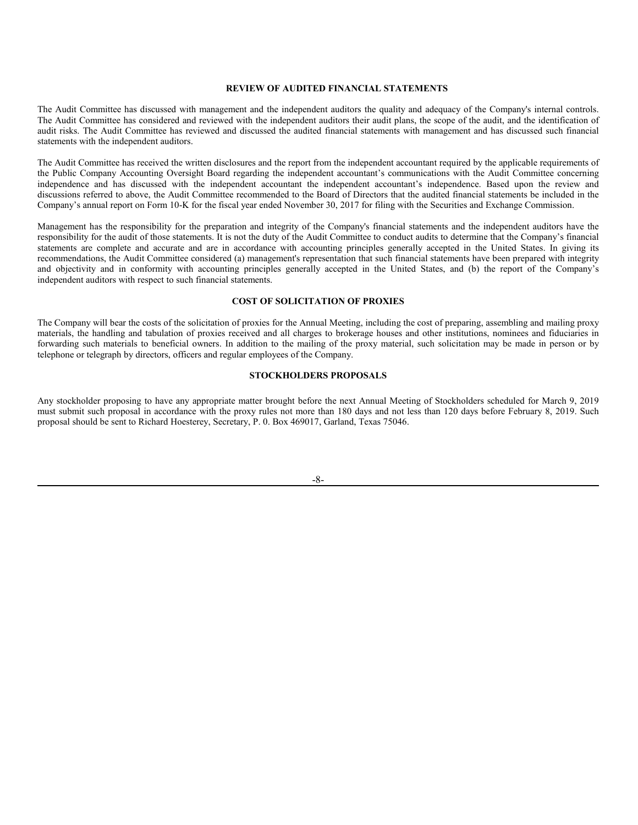#### **REVIEW OF AUDITED FINANCIAL STATEMENTS**

The Audit Committee has discussed with management and the independent auditors the quality and adequacy of the Company's internal controls. The Audit Committee has considered and reviewed with the independent auditors their audit plans, the scope of the audit, and the identification of audit risks. The Audit Committee has reviewed and discussed the audited financial statements with management and has discussed such financial statements with the independent auditors.

The Audit Committee has received the written disclosures and the report from the independent accountant required by the applicable requirements of the Public Company Accounting Oversight Board regarding the independent accountant's communications with the Audit Committee concerning independence and has discussed with the independent accountant the independent accountant's independence. Based upon the review and discussions referred to above, the Audit Committee recommended to the Board of Directors that the audited financial statements be included in the Company's annual report on Form 10-K for the fiscal year ended November 30, 2017 for filing with the Securities and Exchange Commission.

Management has the responsibility for the preparation and integrity of the Company's financial statements and the independent auditors have the responsibility for the audit of those statements. It is not the duty of the Audit Committee to conduct audits to determine that the Company's financial statements are complete and accurate and are in accordance with accounting principles generally accepted in the United States. In giving its recommendations, the Audit Committee considered (a) management's representation that such financial statements have been prepared with integrity and objectivity and in conformity with accounting principles generally accepted in the United States, and (b) the report of the Company's independent auditors with respect to such financial statements.

#### **COST OF SOLICITATION OF PROXIES**

The Company will bear the costs of the solicitation of proxies for the Annual Meeting, including the cost of preparing, assembling and mailing proxy materials, the handling and tabulation of proxies received and all charges to brokerage houses and other institutions, nominees and fiduciaries in forwarding such materials to beneficial owners. In addition to the mailing of the proxy material, such solicitation may be made in person or by telephone or telegraph by directors, officers and regular employees of the Company.

## **STOCKHOLDERS PROPOSALS**

Any stockholder proposing to have any appropriate matter brought before the next Annual Meeting of Stockholders scheduled for March 9, 2019 must submit such proposal in accordance with the proxy rules not more than 180 days and not less than 120 days before February 8, 2019. Such proposal should be sent to Richard Hoesterey, Secretary, P. 0. Box 469017, Garland, Texas 75046.